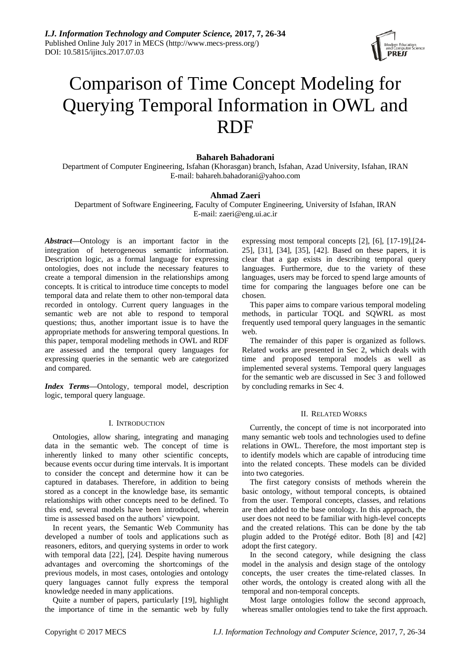

# Comparison of Time Concept Modeling for Querying Temporal Information in OWL and RDF

# **Bahareh Bahadorani**

Department of Computer Engineering, Isfahan (Khorasgan) branch, Isfahan, Azad University, Isfahan, IRAN E-mail: bahareh.bahadorani@yahoo.com

## **Ahmad Zaeri**

Department of Software Engineering, Faculty of Computer Engineering, University of Isfahan, IRAN E-mail: zaeri@eng.ui.ac.ir

*Abstract***—**Ontology is an important factor in the integration of heterogeneous semantic information. Description logic, as a formal language for expressing ontologies, does not include the necessary features to create a temporal dimension in the relationships among concepts. It is critical to introduce time concepts to model temporal data and relate them to other non-temporal data recorded in ontology. Current query languages in the semantic web are not able to respond to temporal questions; thus, another important issue is to have the appropriate methods for answering temporal questions. In this paper, temporal modeling methods in OWL and RDF are assessed and the temporal query languages for expressing queries in the semantic web are categorized and compared.

*Index Terms***—**Ontology, temporal model, description logic, temporal query language.

#### I. INTRODUCTION

Ontologies, allow sharing, integrating and managing data in the semantic web. The concept of time is inherently linked to many other scientific concepts, because events occur during time intervals. It is important to consider the concept and determine how it can be captured in databases. Therefore, in addition to being stored as a concept in the knowledge base, its semantic relationships with other concepts need to be defined. To this end, several models have been introduced, wherein time is assessed based on the authors' viewpoint.

In recent years, the Semantic Web Community has developed a number of tools and applications such as reasoners, editors, and querying systems in order to work with temporal data [22], [24]. Despite having numerous advantages and overcoming the shortcomings of the previous models, in most cases, ontologies and ontology query languages cannot fully express the temporal knowledge needed in many applications.

Quite a number of papers, particularly [19], highlight the importance of time in the semantic web by fully expressing most temporal concepts [2], [6], [17-19],[24- 25], [31], [34], [35], [42]. Based on these papers, it is clear that a gap exists in describing temporal query languages. Furthermore, due to the variety of these languages, users may be forced to spend large amounts of time for comparing the languages before one can be chosen.

This paper aims to compare various temporal modeling methods, in particular TOQL and SQWRL as most frequently used temporal query languages in the semantic web.

The remainder of this paper is organized as follows. Related works are presented in Sec 2, which deals with time and proposed temporal models as well as implemented several systems. Temporal query languages for the semantic web are discussed in Sec 3 and followed by concluding remarks in Sec 4.

#### II. RELATED WORKS

Currently, the concept of time is not incorporated into many semantic web tools and technologies used to define relations in OWL. Therefore, the most important step is to identify models which are capable of introducing time into the related concepts. These models can be divided into two categories.

The first category consists of methods wherein the basic ontology, without temporal concepts, is obtained from the user. Temporal concepts, classes, and relations are then added to the base ontology. In this approach, the user does not need to be familiar with high-level concepts and the created relations. This can be done by the tab plugin added to the Protégé editor. Both [8] and [42] adopt the first category.

In the second category, while designing the class model in the analysis and design stage of the ontology concepts, the user creates the time-related classes. In other words, the ontology is created along with all the temporal and non-temporal concepts.

Most large ontologies follow the second approach, whereas smaller ontologies tend to take the first approach.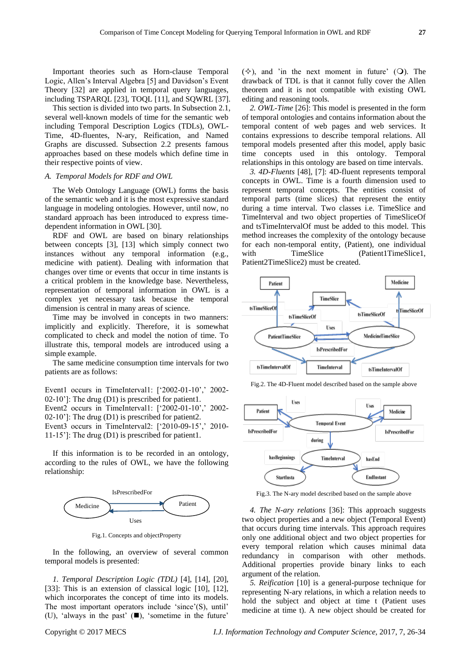Important theories such as Horn-clause Temporal Logic, Allen's Interval Algebra [5] and Davidson's Event Theory [32] are applied in temporal query languages, including TSPARQL [23], TOQL [11], and SQWRL [37].

This section is divided into two parts. In Subsection 2.1, several well-known models of time for the semantic web including Temporal Description Logics (TDLs), OWL-Time, 4D-fluentes, N-ary, Reification, and Named Graphs are discussed. Subsection 2.2 presents famous approaches based on these models which define time in their respective points of view.

### *A. Temporal Models for RDF and OWL*

The Web Ontology Language (OWL) forms the basis of the semantic web and it is the most expressive standard language in modeling ontologies. However, until now, no standard approach has been introduced to express timedependent information in OWL [30].

RDF and OWL are based on binary relationships between concepts [3], [13] which simply connect two instances without any temporal information (e.g., medicine with patient). Dealing with information that changes over time or events that occur in time instants is a critical problem in the knowledge base. Nevertheless, representation of temporal information in OWL is a complex yet necessary task because the temporal dimension is central in many areas of science.

Time may be involved in concepts in two manners: implicitly and explicitly. Therefore, it is somewhat complicated to check and model the notion of time. To illustrate this, temporal models are introduced using a simple example.

The same medicine consumption time intervals for two patients are as follows:

Event1 occurs in TimeInterval1: ['2002-01-10',' 2002-02-10']: The drug (D1) is prescribed for patient1.

Event2 occurs in TimeInterval1: [‗2002-01-10',' 2002- 02-10']: The drug (D1) is prescribed for patient2.

Event3 occurs in TimeInterval2: ['2010-09-15',' 2010-11-15']: The drug (D1) is prescribed for patient1.

If this information is to be recorded in an ontology, according to the rules of OWL, we have the following relationship:



Fig.1. Concepts and objectProperty

In the following, an overview of several common temporal models is presented:

*1. Temporal Description Logic (TDL)* [4], [14], [20], [33]: This is an extension of classical logic [10], [12], which incorporates the concept of time into its models. The most important operators include 'since'(S), until' (U), 'always in the past'  $(\blacksquare)$ , 'sometime in the future'

 $(\diamondsuit)$ , and 'in the next moment in future' (O). The drawback of TDL is that it cannot fully cover the Allen theorem and it is not compatible with existing OWL editing and reasoning tools.

*2. OWL-Time* [26]: This model is presented in the form of temporal ontologies and contains information about the temporal content of web pages and web services. It contains expressions to describe temporal relations. All temporal models presented after this model, apply basic time concepts used in this ontology. Temporal relationships in this ontology are based on time intervals.

*3. 4D-Fluents* [48], [7]: 4D-fluent represents temporal concepts in OWL. Time is a fourth dimension used to represent temporal concepts. The entities consist of temporal parts (time slices) that represent the entity during a time interval. Two classes i.e. TimeSlice and TimeInterval and two object properties of TimeSliceOf and tsTimeIntervalOf must be added to this model. This method increases the complexity of the ontology because for each non-temporal entity, (Patient), one individual with TimeSlice (Patient1TimeSlice1, Patient2TimeSlice2) must be created.



Fig.2. The 4D-Fluent model described based on the sample above



Fig.3. The N-ary model described based on the sample above

*4. The N-ary relations* [36]: This approach suggests two object properties and a new object (Temporal Event) that occurs during time intervals. This approach requires only one additional object and two object properties for every temporal relation which causes minimal data redundancy in comparison with other methods. Additional properties provide binary links to each argument of the relation.

*5. Reification* [10] is a general-purpose technique for representing N-ary relations, in which a relation needs to hold the subject and object at time t (Patient uses medicine at time t). A new object should be created for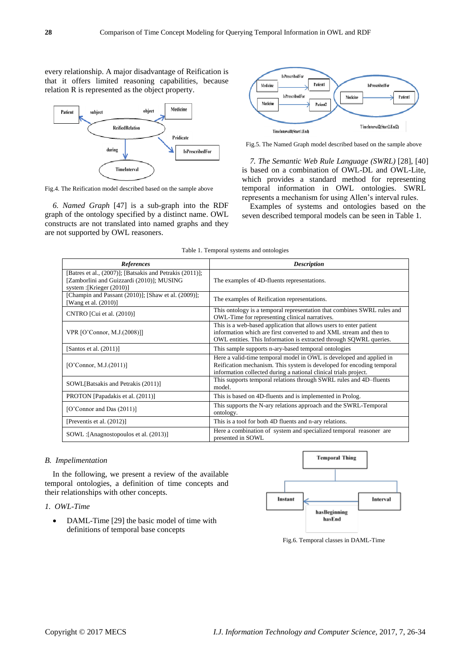every relationship. A major disadvantage of Reification is that it offers limited reasoning capabilities, because relation R is represented as the object property.



Fig.4. The Reification model described based on the sample above

*6. Named Graph* [47] is a sub-graph into the RDF graph of the ontology specified by a distinct name. OWL constructs are not translated into named graphs and they are not supported by OWL reasoners.



Fig.5. The Named Graph model described based on the sample above

*7. The Semantic Web Rule Language (SWRL)* [28], [40] is based on a combination of OWL-DL and OWL-Lite, which provides a standard method for representing temporal information in OWL ontologies. SWRL represents a mechanism for using Allen's interval rules.

Examples of systems and ontologies based on the seven described temporal models can be seen in Table 1.

| Table 1. Temporal systems and ontologies |  |  |  |  |  |
|------------------------------------------|--|--|--|--|--|
|------------------------------------------|--|--|--|--|--|

| References                                                                                                                         | <b>Description</b>                                                                                                                                                                                               |
|------------------------------------------------------------------------------------------------------------------------------------|------------------------------------------------------------------------------------------------------------------------------------------------------------------------------------------------------------------|
| [Batres et al., (2007)]; [Batsakis and Petrakis (2011)];<br>[Zamborlini and Guizzardi (2010)]; MUSING<br>system : [Krieger (2010)] | The examples of 4D-fluents representations.                                                                                                                                                                      |
| [Champin and Passant (2010)]; [Shaw et al. (2009)];<br>Wang et al. (2010)]                                                         | The examples of Reification representations.                                                                                                                                                                     |
| CNTRO [Cui et al. (2010)]                                                                                                          | This ontology is a temporal representation that combines SWRL rules and<br>OWL-Time for representing clinical narratives.                                                                                        |
| VPR [O'Connor, M.J.(2008)]]                                                                                                        | This is a web-based application that allows users to enter patient<br>information which are first converted to and XML stream and then to<br>OWL entities. This Information is extracted through SQWRL queries.  |
| [Santos et al. $(2011)$ ]                                                                                                          | This sample supports n-ary-based temporal ontologies                                                                                                                                                             |
| [O'Connor, M.J. $(2011)$ ]                                                                                                         | Here a valid-time temporal model in OWL is developed and applied in<br>Reification mechanism. This system is developed for encoding temporal<br>information collected during a national clinical trials project. |
| SOWL[Batsakis and Petrakis (2011)]                                                                                                 | This supports temporal relations through SWRL rules and 4D–fluents<br>model                                                                                                                                      |
| PROTON [Papadakis et al. (2011)]                                                                                                   | This is based on 4D-fluents and is implemented in Prolog.                                                                                                                                                        |
| [O'Connor and Das $(2011)$ ]                                                                                                       | This supports the N-ary relations approach and the SWRL-Temporal<br>ontology.                                                                                                                                    |
| [Preventis et al. (2012)]                                                                                                          | This is a tool for both 4D fluents and n-ary relations.                                                                                                                                                          |
| SOWL: [Anagnostopoulos et al. (2013)]                                                                                              | Here a combination of system and specialized temporal reasoner are<br>presented in SOWL                                                                                                                          |

#### *B. Impelimentation*

In the following, we present a review of the available temporal ontologies, a definition of time concepts and their relationships with other concepts.

### *1. OWL-Time*

• DAML-Time [29] the basic model of time with definitions of temporal base concepts



Fig.6. Temporal classes in DAML-Time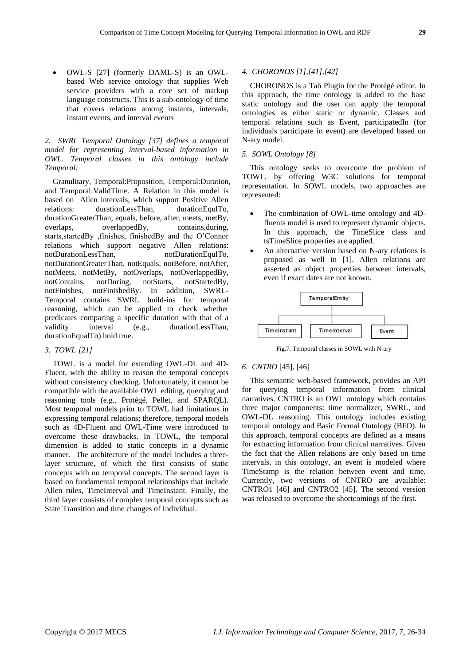OWL-S [27] (formerly DAML-S) is an OWLbased Web service ontology that supplies Web service providers with a core set of markup language constructs. This is a sub-ontology of time that covers relations among instants, intervals, instant events, and interval events

# *2. SWRL Temporal Ontology [37] defines a temporal model for representing interval-based information in OWL. Temporal classes in this ontology include Temporal:*

Granulitary, Temporal:Proposition, Temporal:Duration, and Temporal:ValidTime. A Relation in this model is based on Allen intervals, which support Positive Allen relations: durationLessThan, durationEqulTo, durationGreaterThan, equals, before, after, meets, metBy, overlaps, overlappedBy, contains,during, starts,startedBy ,finishes, finishedBy and the O'Connor relations which support negative Allen relations: notDurationLessThan, notDurationEqulTo, notDurationGreaterThan, notEquals, notBefore, notAfter, notMeets, notMetBy, notOverlaps, notOverlappedBy, notContains, notDuring, notStarts, notStartedBy, notFinishes, notFinishedBy. In addition, SWRL-Temporal contains SWRL build-ins for temporal reasoning, which can be applied to check whether predicates comparing a specific duration with that of a validity interval (e.g., durationLessThan, durationEqualTo) hold true.

# *3. TOWL [21]*

TOWL is a model for extending OWL-DL and 4D-Fluent, with the ability to reason the temporal concepts without consistency checking. Unfortunately, it cannot be compatible with the available OWL editing, querying and reasoning tools (e.g., Protégé, Pellet, and SPARQL). Most temporal models prior to TOWL had limitations in expressing temporal relations; therefore, temporal models such as 4D-Fluent and OWL-Time were introduced to overcome these drawbacks. In TOWL, the temporal dimension is added to static concepts in a dynamic manner. The architecture of the model includes a threelayer structure, of which the first consists of static concepts with no temporal concepts. The second layer is based on fundamental temporal relationships that include Allen rules, TimeInterval and TimeInstant. Finally, the third layer consists of complex temporal concepts such as State Transition and time changes of Individual.

## *4. CHORONOS [1],[41],[42]*

CHORONOS is a Tab Plugin for the Protégé editor. In this approach, the time ontology is added to the base static ontology and the user can apply the temporal ontologies as either static or dynamic. Classes and temporal relations such as Event, participatedIn (for individuals participate in event) are developed based on N-ary model.

# *5. SOWL Ontology [8]*

This ontology seeks to overcome the problem of TOWL, by offering W3C solutions for temporal representation. In SOWL models, two approaches are represented:

- The combination of OWL-time ontology and 4Dfluents model is used to represent dynamic objects. In this approach, the TimeSlice class and tsTimeSlice properties are applied.
- An alternative version based on N-ary relations is proposed as well in [1]. Allen relations are asserted as object properties between intervals, even if exact dates are not known.



Fig.7. Temporal classes in SOWL with N-ary

## *6. CNTRO* [45], [46]

This semantic web-based framework, provides an API for querying temporal information from clinical narratives. CNTRO is an OWL ontology which contains three major components: time normalizer, SWRL, and OWL-DL reasoning. This ontology includes existing temporal ontology and Basic Formal Ontology (BFO). In this approach, temporal concepts are defined as a means for extracting information from clinical narratives. Given the fact that the Allen relations are only based on time intervals, in this ontology, an event is modeled where TimeStamp is the relation between event and time. Currently, two versions of CNTRO are available: CNTRO1 [46] and CNTRO2 [45]. The second version was released to overcome the shortcomings of the first.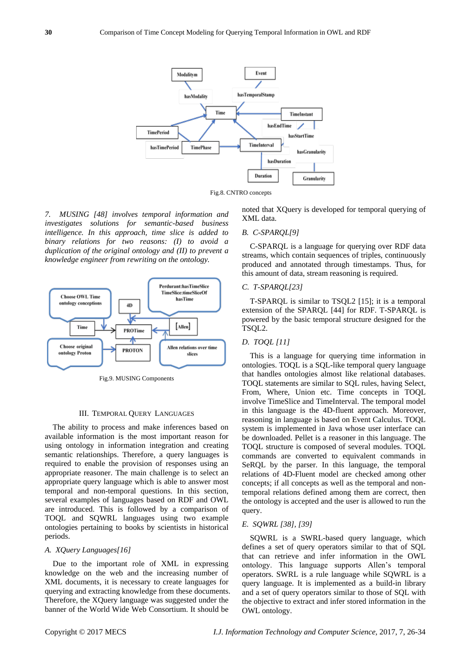

Fig.8. CNTRO concepts

*7. MUSING [48] involves temporal information and investigates solutions for semantic-based business intelligence. In this approach, time slice is added to binary relations for two reasons: (I) to avoid a duplication of the original ontology and (II) to prevent a knowledge engineer from rewriting on the ontology.*



Fig.9. MUSING Components

#### III. TEMPORAL QUERY LANGUAGES

The ability to process and make inferences based on available information is the most important reason for using ontology in information integration and creating semantic relationships. Therefore, a query languages is required to enable the provision of responses using an appropriate reasoner. The main challenge is to select an appropriate query language which is able to answer most temporal and non-temporal questions. In this section, several examples of languages based on RDF and OWL are introduced. This is followed by a comparison of TOQL and SQWRL languages using two example ontologies pertaining to books by scientists in historical periods.

### *A. XQuery Languages[16]*

Due to the important role of XML in expressing knowledge on the web and the increasing number of XML documents, it is necessary to create languages for querying and extracting knowledge from these documents. Therefore, the XQuery language was suggested under the banner of the World Wide Web Consortium. It should be

noted that XQuery is developed for temporal querying of XML data.

## *B. C-SPARQL[9]*

C-SPARQL is a language for querying over RDF data streams, which contain sequences of triples, continuously produced and annotated through timestamps. Thus, for this amount of data, stream reasoning is required.

#### *C. T-SPARQL[23]*

T-SPARQL is similar to TSQL2 [15]; it is a temporal extension of the SPARQL [44] for RDF. T-SPARQL is powered by the basic temporal structure designed for the TSQL2.

# *D. TOQL [11]*

This is a language for querying time information in ontologies. TOQL is a SQL-like temporal query language that handles ontologies almost like relational databases. TOQL statements are similar to SQL rules, having Select, From, Where, Union etc. Time concepts in TOQL involve TimeSlice and TimeInterval. The temporal model in this language is the 4D-fluent approach. Moreover, reasoning in language is based on Event Calculus. TOQL system is implemented in Java whose user interface can be downloaded. Pellet is a reasoner in this language. The TOQL structure is composed of several modules. TOQL commands are converted to equivalent commands in SeRQL by the parser. In this language, the temporal relations of 4D-Fluent model are checked among other concepts; if all concepts as well as the temporal and nontemporal relations defined among them are correct, then the ontology is accepted and the user is allowed to run the query.

#### *E. SQWRL [38], [39]*

SQWRL is a SWRL-based query language, which defines a set of query operators similar to that of SQL that can retrieve and infer information in the OWL ontology. This language supports Allen's temporal operators. SWRL is a rule language while SQWRL is a query language. It is implemented as a build-in library and a set of query operators similar to those of SQL with the objective to extract and infer stored information in the OWL ontology.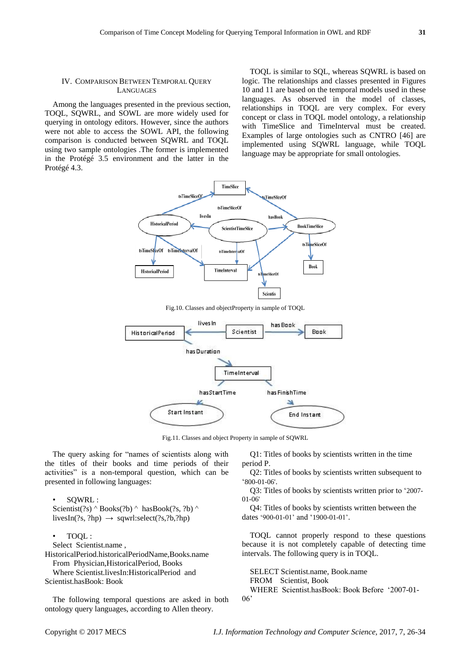## IV. COMPARISON BETWEEN TEMPORAL QUERY LANGUAGES

Among the languages presented in the previous section, TOQL, SQWRL, and SOWL are more widely used for querying in ontology editors. However, since the authors were not able to access the SOWL API, the following comparison is conducted between SQWRL and TOQL using two sample ontologies .The former is implemented in the Protégé 3.5 environment and the latter in the Protégé4.3.

TOQL is similar to SQL, whereas SQWRL is based on logic. The relationships and classes presented in Figures 10 and 11 are based on the temporal models used in these languages. As observed in the model of classes, relationships in TOQL are very complex. For every concept or class in TOQL model ontology, a relationship with TimeSlice and TimeInterval must be created. Examples of large ontologies such as CNTRO [46] are implemented using SQWRL language, while TOQL language may be appropriate for small ontologies.



Fig.10. Classes and objectProperty in sample of TOQL



Fig.11. Classes and object Property in sample of SQWRL

The query asking for "names of scientists along with the titles of their books and time periods of their activities" is a non-temporal question, which can be presented in following languages:

• SQWRL : Scientist(?s)  $\wedge$  Books(?b)  $\wedge$  hasBook(?s, ?b)  $\wedge$ livesIn(?s, ?hp)  $\rightarrow$  sqwrl:select(?s,?b,?hp)

• TOQL : Select Scientist.name , HistoricalPeriod.historicalPeriodName,Books.name From Physician,HistoricalPeriod, Books

Where Scientist.livesIn:HistoricalPeriod and Scientist.hasBook: Book

The following temporal questions are asked in both ontology query languages, according to Allen theory.

Q1: Titles of books by scientists written in the time period P.

Q2: Titles of books by scientists written subsequent to ‗800-01-06'.

Q3: Titles of books by scientists written prior to ‗2007- 01-06'

Q4: Titles of books by scientists written between the dates '900-01-01' and '1900-01-01'.

TOQL cannot properly respond to these questions because it is not completely capable of detecting time intervals. The following query is in TOQL.

SELECT Scientist.name, Book.name FROM Scientist, Book WHERE Scientist.hasBook: Book Before '2007-01-06'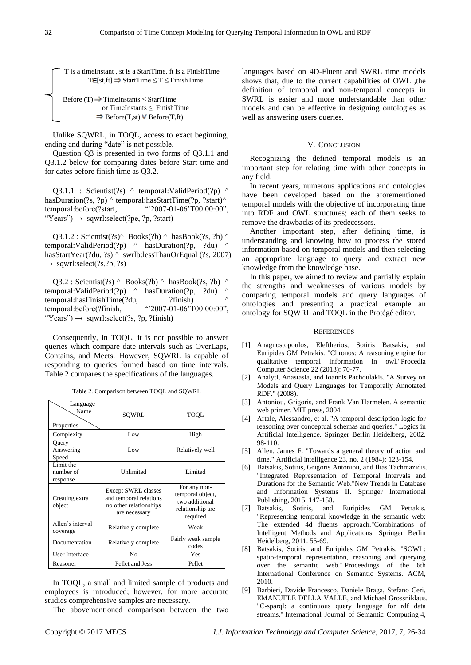T is a timeInstant , st is a StartTime, ft is a FinishTime  $T \in [st,ft] \Rightarrow$  StartTime  $\leq T \leq$  FinishTime

Before (T)  $\Rightarrow$  TimeInstants  $\leq$  StartTime or TimeInstants ≤ FinishTime  $\Rightarrow$  Before(T,st) V Before(T,ft)

Unlike SQWRL, in TOQL, access to exact beginning, ending and during "date" is not possible.

Question Q3 is presented in two forms of Q3.1.1 and Q3.1.2 below for comparing dates before Start time and for dates before finish time as Q3.2.

Q3.1.1 : Scientist(?s)  $\land$  temporal:ValidPeriod(?p)  $\land$ hasDuration(?s, ?p) ^ temporal:hasStartTime(?p, ?start)^ temporal:before(?start,  $\qquad \qquad ^{\omega}2007-01-06' \text{T}00:00:00",$ "Years")  $\rightarrow$  sqwrl:select(?pe, ?p, ?start)

Q3.1.2 : Scientist(?s)^ Books(?b) ^ hasBook(?s, ?b) ^ temporal:ValidPeriod(?p)  $\land$  hasDuration(?p, ?du)  $\land$ hasStartYear(?du, ?s) ^ swrlb:lessThanOrEqual (?s, 2007)  $\rightarrow$  sqwrl:select(?s,?b, ?s)

 $Q3.2$ : Scientist(?s)  $\land$  Books(?b)  $\land$  hasBook(?s, ?b)  $\land$ temporal:ValidPeriod(?p) ^ hasDuration(?p, ?du) ^ temporal:hasFinishTime(?du, ?finish) ^ temporal:before(?finish, "2007-01-06'T00:00:00", "Years")  $\rightarrow$  sqwrl:select(?s, ?p, ?finish)

Consequently, in TOQL, it is not possible to answer queries which compare date intervals such as OverLaps, Contains, and Meets. However, SQWRL is capable of responding to queries formed based on time intervals. Table 2 compares the specifications of the languages.

| Language<br>Name<br>Properties     | SOWRL                                                                                           | TOOL                                                                               |
|------------------------------------|-------------------------------------------------------------------------------------------------|------------------------------------------------------------------------------------|
| Complexity                         | Low                                                                                             | High                                                                               |
| Query<br>Answering<br>Speed        | Low                                                                                             | Relatively well                                                                    |
| Limit the<br>number of<br>response | Unlimited                                                                                       | Limited                                                                            |
| Creating extra<br>object           | <b>Except SWRL classes</b><br>and temporal relations<br>no other relationships<br>are necessary | For any non-<br>temporal object,<br>two additional<br>relationship are<br>required |
| Allen's interval<br>coverage       | Relatively complete                                                                             | Weak                                                                               |
| Documentation                      | Relatively complete                                                                             | Fairly weak sample<br>codes                                                        |
| User Interface                     | No                                                                                              | Yes                                                                                |
| Reasoner                           | Pellet and Jess                                                                                 | Pellet                                                                             |

Table 2. Comparison between TOQL and SQWRL

In TOQL, a small and limited sample of products and employees is introduced; however, for more accurate studies comprehensive samples are necessary.

The abovementioned comparison between the two

languages based on 4D-Fluent and SWRL time models shows that, due to the current capabilities of OWL ,the definition of temporal and non-temporal concepts in SWRL is easier and more understandable than other models and can be effective in designing ontologies as well as answering users queries.

#### V. CONCLUSION

Recognizing the defined temporal models is an important step for relating time with other concepts in any field.

In recent years, numerous applications and ontologies have been developed based on the aforementioned temporal models with the objective of incorporating time into RDF and OWL structures; each of them seeks to remove the drawbacks of its predecessors.

Another important step, after defining time, is understanding and knowing how to process the stored information based on temporal models and then selecting an appropriate language to query and extract new knowledge from the knowledge base.

In this paper, we aimed to review and partially explain the strengths and weaknesses of various models by comparing temporal models and query languages of ontologies and presenting a practical example an ontology for SQWRL and TOQL in the Prot égé editor.

#### **REFERENCES**

- [1] Anagnostopoulos, Eleftherios, Sotiris Batsakis, and Euripides GM Petrakis. "Chronos: A reasoning engine for qualitative temporal information in owl."Procedia Computer Science 22 (2013): 70-77.
- [2] Analyti, Anastasia, and Ioannis Pachoulakis. "A Survey on Models and Query Languages for Temporally Annotated RDF." (2008).
- [3] Antoniou, Grigoris, and Frank Van Harmelen. A semantic web primer. MIT press, 2004.
- [4] Artale, Alessandro, et al. "A temporal description logic for reasoning over conceptual schemas and queries." Logics in Artificial Intelligence. Springer Berlin Heidelberg, 2002. 98-110.
- [5] Allen, James F. "Towards a general theory of action and time." Artificial intelligence 23, no. 2 (1984): 123-154.
- [6] Batsakis, Sotiris, Grigoris Antoniou, and Ilias Tachmazidis. "Integrated Representation of Temporal Intervals and Durations for the Semantic Web."New Trends in Database and Information Systems II. Springer International Publishing, 2015. 147-158.
- [7] Batsakis, Sotiris, and Euripides GM Petrakis. "Representing temporal knowledge in the semantic web: The extended 4d fluents approach."Combinations of Intelligent Methods and Applications. Springer Berlin Heidelberg, 2011. 55-69.
- [8] Batsakis, Sotiris, and Euripides GM Petrakis. "SOWL: spatio-temporal representation, reasoning and querying over the semantic web." Proceedings of the 6th International Conference on Semantic Systems. ACM, 2010.
- [9] Barbieri, Davide Francesco, Daniele Braga, Stefano Ceri, EMANUELE DELLA VALLE, and Michael Grossniklaus. "C-sparql: a continuous query language for rdf data streams." International Journal of Semantic Computing 4,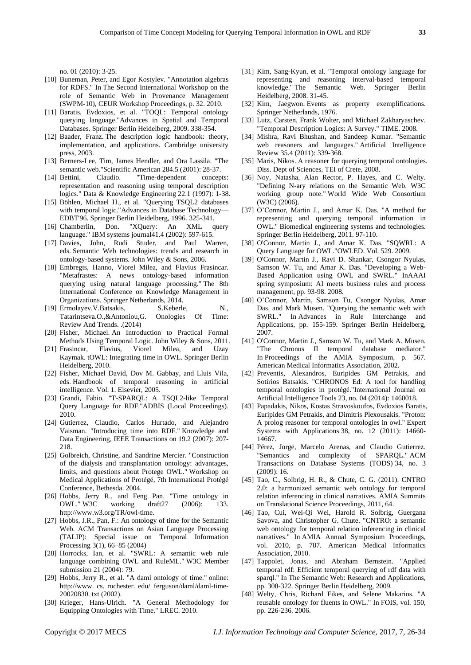no. 01 (2010): 3-25.

- [10] Buneman, Peter, and Egor Kostylev. "Annotation algebras for RDFS." In The Second International Workshop on the role of Semantic Web in Provenance Management (SWPM-10), CEUR Workshop Proceedings, p. 32. 2010.
- [11] Baratis, Evdoxios, et al. "TOQL: Temporal ontology querying language."Advances in Spatial and Temporal Databases. Springer Berlin Heidelberg, 2009. 338-354.
- [12] Baader, Franz. The description logic handbook: theory, implementation, and applications. Cambridge university press, 2003.
- [13] Berners-Lee, Tim, James Hendler, and Ora Lassila. "The semantic web."Scientific American 284.5 (2001): 28-37.
- [14] Bettini, Claudio. "Time-dependent concepts: representation and reasoning using temporal description logics." Data & Knowledge Engineering 22.1 (1997): 1-38.
- [15] Böhlen, Michael H., et al. "Querying TSQL2 databases with temporal logic."Advances in Database Technology— EDBT'96. Springer Berlin Heidelberg, 1996. 325-341.
- [16] Chamberlin, Don. "XQuery: An XML query language." IBM systems journal41.4 (2002): 597-615.
- [17] Davies, John, Rudi Studer, and Paul Warren, eds. Semantic Web technologies: trends and research in ontology-based systems. John Wiley & Sons, 2006.
- [18] Embregts, Hanno, Viorel Milea, and Flavius Frasincar. "Metafrastes: A news ontology-based information querying using natural language processing." The 8th International Conference on Knowledge Management in Organizations. Springer Netherlands, 2014.
- [19] Ermolayev.V.Batsakis, S.Keberle, N., Tatarintseva.O.,&Antoniou,G. Onologies Of Time: Review And Trends. .(2014)
- [20] Fisher, Michael. An Introduction to Practical Formal Methods Using Temporal Logic. John Wiley & Sons, 2011.
- [21] Frasincar, Flavius, Viorel Milea, and Uzay Kaymak. tOWL: Integrating time in OWL. Springer Berlin Heidelberg, 2010.
- [22] Fisher, Michael David, Dov M. Gabbay, and Lluis Vila, eds. Handbook of temporal reasoning in artificial intelligence. Vol. 1. Elsevier, 2005.
- [23] Grandi, Fabio. "T-SPARQL: A TSQL2-like Temporal Query Language for RDF."ADBIS (Local Proceedings). 2010.
- [24] Gutierrez, Claudio, Carlos Hurtado, and Alejandro Vaisman. "Introducing time into RDF." Knowledge and Data Engineering, IEEE Transactions on 19.2 (2007): 207- 218.
- [25] Golbreich, Christine, and Sandrine Mercier. "Construction of the dialysis and transplantation ontology: advantages, limits, and questions about Protege OWL." Workshop on Medical Applications of Protégé, 7th International Protégé Conference, Bethesda. 2004.
- [26] Hobbs, Jerry R., and Feng Pan. "Time ontology in OWL." W3C working draft27 (2006): 133. http://www.w3.org/TR/owl-time.
- [27] Hobbs, J.R., Pan, F.: An ontology of time for the Semantic Web. ACM Transactions on Asian Language Processing (TALIP): Special issue on Temporal Information Processing 3(1), 66–85 (2004)
- [28] Horrocks, Ian, et al. "SWRL: A semantic web rule language combining OWL and RuleML." W3C Member submission 21 (2004): 79.
- [29] Hobbs, Jerry R., et al. "A daml ontology of time." online: http://www. cs. rochester. edu/\_ferguson/daml/daml-time-20020830. txt (2002).
- [30] Krieger, Hans-Ulrich. "A General Methodology for Equipping Ontologies with Time." LREC. 2010.
- [31] Kim, Sang-Kyun, et al. "Temporal ontology language for representing and reasoning interval-based temporal knowledge." The Semantic Web. Springer Berlin Heidelberg, 2008. 31-45.
- [32] Kim, Jaegwon. Events as property exemplifications. Springer Netherlands, 1976.
- [33] Lutz, Carsten, Frank Wolter, and Michael Zakharyaschev. "Temporal Description Logics: A Survey." TIME. 2008.
- [34] Mishra, Ravi Bhushan, and Sandeep Kumar. "Semantic web reasoners and languages." Artificial Intelligence Review 35.4 (2011): 339-368.
- [35] Maris, Nikos. A reasoner for querying temporal ontologies. Diss. Dept of Sciences, TEI of Crete, 2008.
- [36] Noy, Natasha, Alan Rector, P. Hayes, and C. Welty. "Defining N-ary relations on the Semantic Web. W3C working group note." World Wide Web Consortium (W3C) (2006).
- [37] O'Connor, Martin J., and Amar K. Das. "A method for representing and querying temporal information in OWL." Biomedical engineering systems and technologies. Springer Berlin Heidelberg, 2011. 97-110.
- [38] O'Connor, Martin J., and Amar K. Das. "SQWRL: A Query Language for OWL."OWLED. Vol. 529. 2009.
- [39] O'Connor, Martin J., Ravi D. Shankar, Csongor Nyulas, Samson W. Tu, and Amar K. Das. "Developing a Web-Based Application using OWL and SWRL." InAAAI spring symposium: AI meets business rules and process management, pp. 93-98. 2008.
- [40] O'Connor, Martin, Samson Tu, Csongor Nyulas, Amar Das, and Mark Musen. "Querying the semantic web with SWRL." In Advances in Rule Interchange and Applications, pp. 155-159. Springer Berlin Heidelberg, 2007.
- [41] O'Connor, Martin J., Samson W. Tu, and Mark A. Musen. "The Chronus II temporal database mediator." In Proceedings of the AMIA Symposium, p. 567. American Medical Informatics Association, 2002.
- [42] Preventis, Alexandros, Euripides GM Petrakis, and Sotirios Batsakis. "CHRONOS Ed: A tool for handling temporal ontologies in protégé."International Journal on Artificial Intelligence Tools 23, no. 04 (2014): 1460018.
- [43] Papadakis, Nikos, Kostas Stravoskoufos, Evdoxios Baratis, Euripides GM Petrakis, and Dimitris Plexousakis. "Proton: A prolog reasoner for temporal ontologies in owl." Expert Systems with Applications 38, no. 12 (2011): 14660- 14667.
- [44] Pérez, Jorge, Marcelo Arenas, and Claudio Gutierrez. "Semantics and complexity of SPARQL." ACM Transactions on Database Systems (TODS) 34, no. 3 (2009): 16.
- [45] Tao, C., Solbrig, H. R., & Chute, C. G. (2011). CNTRO 2.0: a harmonized semantic web ontology for temporal relation inferencing in clinical narratives. AMIA Summits on Translational Science Proceedings, 2011, 64.
- [46] Tao, Cui, Wei-Qi Wei, Harold R. Solbrig, Guergana Savova, and Christopher G. Chute. "CNTRO: a semantic web ontology for temporal relation inferencing in clinical narratives." In AMIA Annual Symposium Proceedings, vol. 2010, p. 787. American Medical Informatics Association, 2010.
- [47] Tappolet, Jonas, and Abraham Bernstein. "Applied temporal rdf: Efficient temporal querying of rdf data with sparql." In The Semantic Web: Research and Applications, pp. 308-322. Springer Berlin Heidelberg, 2009.
- [48] Welty, Chris, Richard Fikes, and Selene Makarios. "A reusable ontology for fluents in OWL." In FOIS, vol. 150, pp. 226-236. 2006.